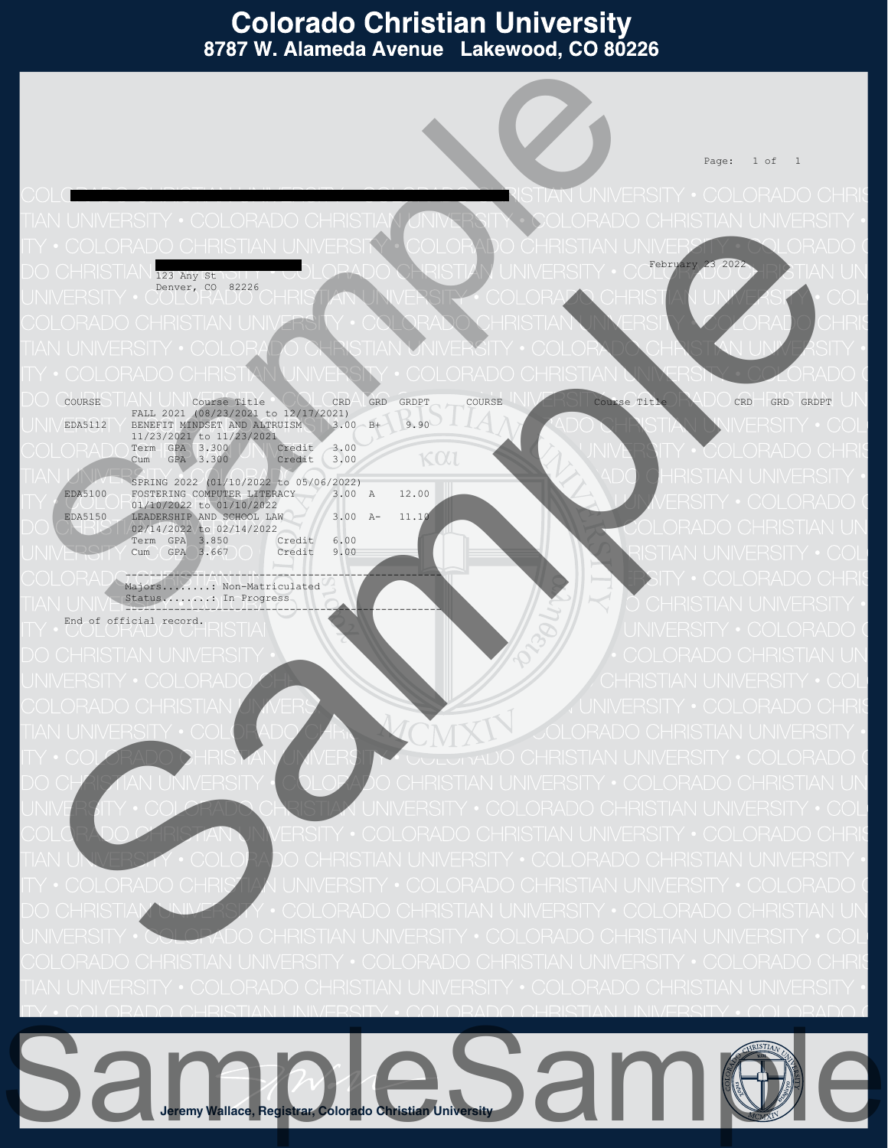Page: 1 of 1

 $\bigcap_{\text{A}}$   $\bigcap_{\text{A}}$   $\bigcap_{\text{A}}$   $\bigcap_{\text{A}}$   $\bigcap_{\text{A}}$   $\bigcap_{\text{A}}$   $\bigcap_{\text{A}}$   $\bigcap_{\text{A}}$   $\bigcap_{\text{A}}$   $\bigcap_{\text{A}}$   $\bigcap_{\text{A}}$   $\bigcap_{\text{A}}$   $\bigcap_{\text{A}}$   $\bigcap_{\text{A}}$   $\bigcap_{\text{A}}$   $\bigcap_{\text{A}}$   $\bigcap_{\text{A}}$   $\bigcap_{\text{A}}$   $\bigcap_{$  123 Any St Denver, CO 82226

Test User Advancement Courses 0600100

COURSE HAN UN Course Title COUL CRD GRDPT COURSE NIVETIME COURSE Title CRUCICED GRD GRDPT FALL 2021 (08/23/2021 to 12/17/2021)<br>
BENEFIT MINDSET AND ALTRUISM 3.00 B+ 9.90 11/23/2021 to 11/23/2021<br> **CRAD** Term GPA 3.300 **Credit** 3.00 Cum GPA 3.300 Credit 3.00 SPRING 2022 (01/10/2022 to 05/06/2022)<br>
EDA5100 FOSTERING COMPUTER LITERACY 3.00 A 12.00<br>
01/10/2022 to 01/10/2022

EDA5150 LEADERSHIP AND SCHOOL LAW 3.00 A- 11.1 02/14/2022 to 02/14/2022<br>Term GPA 3.850 Credit Term GPA 3.850 Credit 6.00<br>Cum GPA 3.667 Credit 9.00 Credit

 ---------------------------------------------------- Majors............ Non-Matriculated Status........: In Progress ----------------------------------------------------

End of official record.

Samples of the contract of

**Jeremy Wallace, Registrar, Colorado Christian University** SampleSample